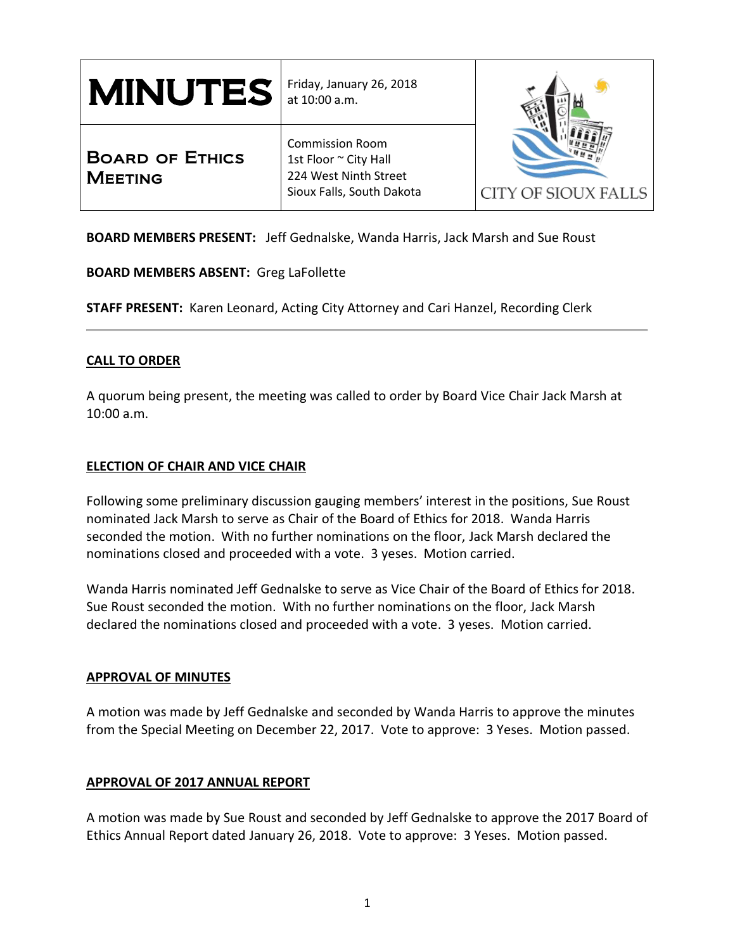| <b>MINUTES</b>                           | Friday, January 26, 2018<br>at 10:00 a.m.                                                             |                     |
|------------------------------------------|-------------------------------------------------------------------------------------------------------|---------------------|
| <b>BOARD OF ETHICS</b><br><b>MEETING</b> | <b>Commission Room</b><br>1st Floor ~ City Hall<br>224 West Ninth Street<br>Sioux Falls, South Dakota | CITY OF SIOUX FALLS |

**BOARD MEMBERS PRESENT:** Jeff Gednalske, Wanda Harris, Jack Marsh and Sue Roust

## **BOARD MEMBERS ABSENT:** Greg LaFollette

**STAFF PRESENT:** Karen Leonard, Acting City Attorney and Cari Hanzel, Recording Clerk

## **CALL TO ORDER**

A quorum being present, the meeting was called to order by Board Vice Chair Jack Marsh at 10:00 a.m.

## **ELECTION OF CHAIR AND VICE CHAIR**

Following some preliminary discussion gauging members' interest in the positions, Sue Roust nominated Jack Marsh to serve as Chair of the Board of Ethics for 2018. Wanda Harris seconded the motion. With no further nominations on the floor, Jack Marsh declared the nominations closed and proceeded with a vote. 3 yeses. Motion carried.

Wanda Harris nominated Jeff Gednalske to serve as Vice Chair of the Board of Ethics for 2018. Sue Roust seconded the motion. With no further nominations on the floor, Jack Marsh declared the nominations closed and proceeded with a vote. 3 yeses. Motion carried.

## **APPROVAL OF MINUTES**

A motion was made by Jeff Gednalske and seconded by Wanda Harris to approve the minutes from the Special Meeting on December 22, 2017. Vote to approve: 3 Yeses. Motion passed.

## **APPROVAL OF 2017 ANNUAL REPORT**

A motion was made by Sue Roust and seconded by Jeff Gednalske to approve the 2017 Board of Ethics Annual Report dated January 26, 2018. Vote to approve: 3 Yeses. Motion passed.